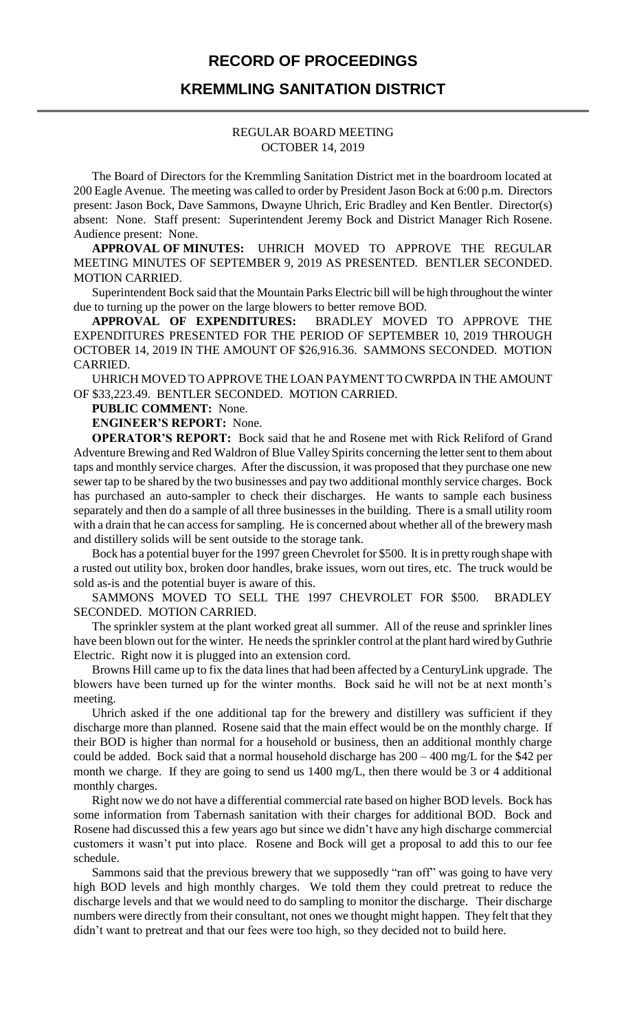## **RECORD OF PROCEEDINGS**

## **KREMMLING SANITATION DISTRICT**

#### REGULAR BOARD MEETING OCTOBER 14, 2019

The Board of Directors for the Kremmling Sanitation District met in the boardroom located at 200 Eagle Avenue. The meeting was called to order by President Jason Bock at 6:00 p.m. Directors present: Jason Bock, Dave Sammons, Dwayne Uhrich, Eric Bradley and Ken Bentler. Director(s) absent: None. Staff present: Superintendent Jeremy Bock and District Manager Rich Rosene. Audience present: None.

**APPROVAL OF MINUTES:** UHRICH MOVED TO APPROVE THE REGULAR MEETING MINUTES OF SEPTEMBER 9, 2019 AS PRESENTED. BENTLER SECONDED. MOTION CARRIED.

Superintendent Bock said that the Mountain Parks Electric bill will be high throughout the winter due to turning up the power on the large blowers to better remove BOD.

**APPROVAL OF EXPENDITURES:** BRADLEY MOVED TO APPROVE THE EXPENDITURES PRESENTED FOR THE PERIOD OF SEPTEMBER 10, 2019 THROUGH OCTOBER 14, 2019 IN THE AMOUNT OF \$26,916.36. SAMMONS SECONDED. MOTION CARRIED.

UHRICH MOVED TO APPROVE THE LOAN PAYMENT TO CWRPDA IN THE AMOUNT OF \$33,223.49. BENTLER SECONDED. MOTION CARRIED.

**PUBLIC COMMENT:** None.

**ENGINEER'S REPORT:** None.

**OPERATOR'S REPORT:** Bock said that he and Rosene met with Rick Reliford of Grand Adventure Brewing and Red Waldron of Blue Valley Spirits concerning the letter sent to them about taps and monthly service charges. After the discussion, it was proposed that they purchase one new sewer tap to be shared by the two businesses and pay two additional monthly service charges. Bock has purchased an auto-sampler to check their discharges. He wants to sample each business separately and then do a sample of all three businesses in the building. There is a small utility room with a drain that he can access for sampling. He is concerned about whether all of the brewery mash and distillery solids will be sent outside to the storage tank.

Bock has a potential buyer for the 1997 green Chevrolet for \$500. It is in pretty rough shape with a rusted out utility box, broken door handles, brake issues, worn out tires, etc. The truck would be sold as-is and the potential buyer is aware of this.

SAMMONS MOVED TO SELL THE 1997 CHEVROLET FOR \$500. BRADLEY SECONDED. MOTION CARRIED.

The sprinkler system at the plant worked great all summer. All of the reuse and sprinkler lines have been blown out for the winter. He needs the sprinkler control at the plant hard wired by Guthrie Electric. Right now it is plugged into an extension cord.

Browns Hill came up to fix the data lines that had been affected by a CenturyLink upgrade. The blowers have been turned up for the winter months. Bock said he will not be at next month's meeting.

Uhrich asked if the one additional tap for the brewery and distillery was sufficient if they discharge more than planned. Rosene said that the main effect would be on the monthly charge. If their BOD is higher than normal for a household or business, then an additional monthly charge could be added. Bock said that a normal household discharge has 200 – 400 mg/L for the \$42 per month we charge. If they are going to send us 1400 mg/L, then there would be 3 or 4 additional monthly charges.

Right now we do not have a differential commercial rate based on higher BOD levels. Bock has some information from Tabernash sanitation with their charges for additional BOD. Bock and Rosene had discussed this a few years ago but since we didn't have any high discharge commercial customers it wasn't put into place. Rosene and Bock will get a proposal to add this to our fee schedule.

Sammons said that the previous brewery that we supposedly "ran off" was going to have very high BOD levels and high monthly charges. We told them they could pretreat to reduce the discharge levels and that we would need to do sampling to monitor the discharge. Their discharge numbers were directly from their consultant, not ones we thought might happen. They felt that they didn't want to pretreat and that our fees were too high, so they decided not to build here.